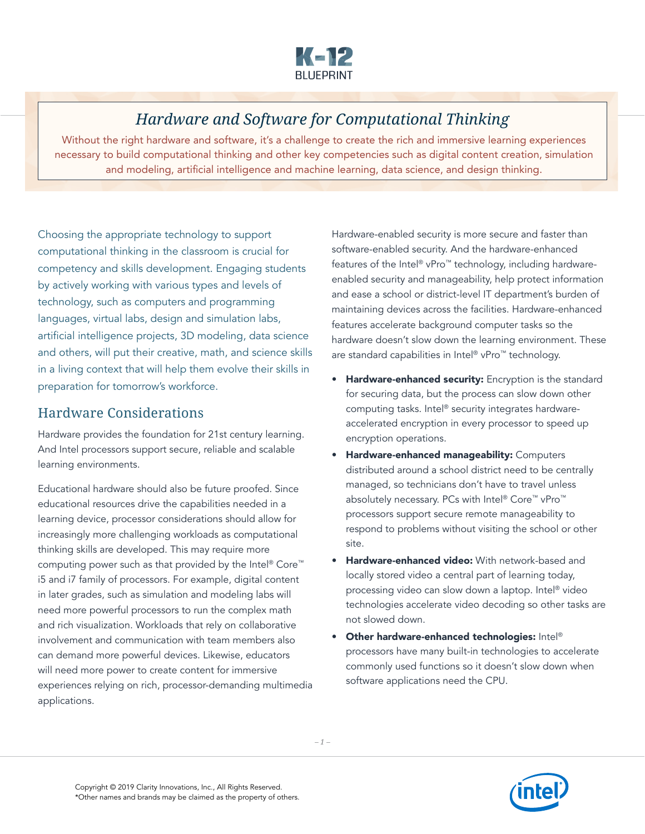

# *Hardware and Software for Computational Thinking*

Without the right hardware and software, it's a challenge to create the rich and immersive learning experiences necessary to build computational thinking and other key competencies such as digital content creation, simulation and modeling, artificial intelligence and machine learning, data science, and design thinking.

Choosing the appropriate technology to support computational thinking in the classroom is crucial for competency and skills development. Engaging students by actively working with various types and levels of technology, such as computers and programming languages, virtual labs, design and simulation labs, artificial intelligence projects, 3D modeling, data science and others, will put their creative, math, and science skills in a living context that will help them evolve their skills in preparation for tomorrow's workforce.

### Hardware Considerations

Hardware provides the foundation for 21st century learning. And Intel processors support secure, reliable and scalable learning environments.

Educational hardware should also be future proofed. Since educational resources drive the capabilities needed in a learning device, processor considerations should allow for increasingly more challenging workloads as computational thinking skills are developed. This may require more computing power such as that provided by the Intel® Core™ i5 and i7 family of processors. For example, digital content in later grades, such as simulation and modeling labs will need more powerful processors to run the complex math and rich visualization. Workloads that rely on collaborative involvement and communication with team members also can demand more powerful devices. Likewise, educators will need more power to create content for immersive experiences relying on rich, processor-demanding multimedia applications.

Hardware-enabled security is more secure and faster than software-enabled security. And the hardware-enhanced features of the Intel® vPro™ technology, including hardwareenabled security and manageability, help protect information and ease a school or district-level IT department's burden of maintaining devices across the facilities. Hardware-enhanced features accelerate background computer tasks so the hardware doesn't slow down the learning environment. These are standard capabilities in Intel® vPro™ technology.

- Hardware-enhanced security: Encryption is the standard for securing data, but the process can slow down other computing tasks. Intel® security integrates hardwareaccelerated encryption in every processor to speed up encryption operations.
- **Hardware-enhanced manageability: Computers** distributed around a school district need to be centrally managed, so technicians don't have to travel unless absolutely necessary. PCs with Intel® Core™ vPro™ processors support secure remote manageability to respond to problems without visiting the school or other site.
- **Hardware-enhanced video:** With network-based and locally stored video a central part of learning today, processing video can slow down a laptop. Intel® video technologies accelerate video decoding so other tasks are not slowed down.
- Other hardware-enhanced technologies: Intel® processors have many built-in technologies to accelerate commonly used functions so it doesn't slow down when software applications need the CPU.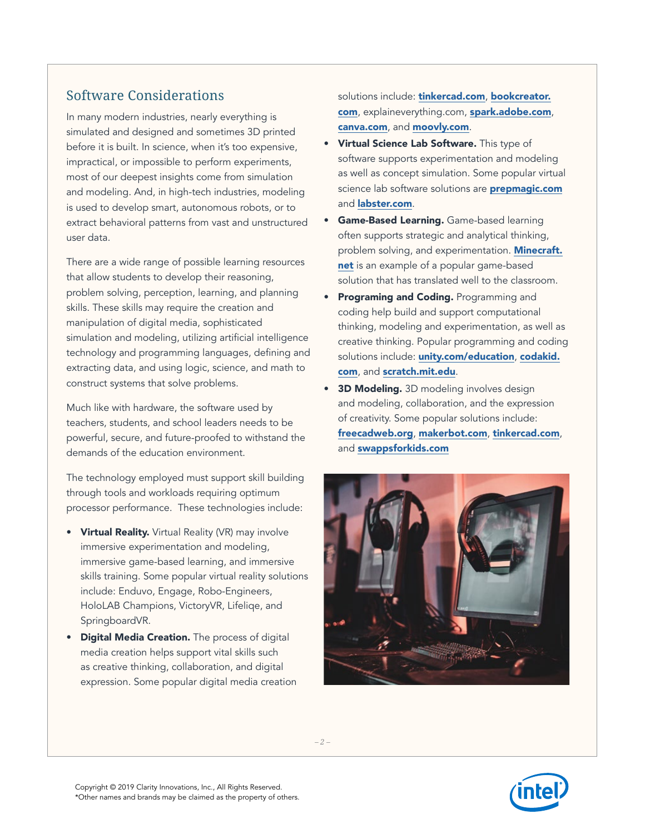### Software Considerations

In many modern industries, nearly everything is simulated and designed and sometimes 3D printed before it is built. In science, when it's too expensive, impractical, or impossible to perform experiments, most of our deepest insights come from simulation and modeling. And, in high-tech industries, modeling is used to develop smart, autonomous robots, or to extract behavioral patterns from vast and unstructured user data.

There are a wide range of possible learning resources that allow students to develop their reasoning, problem solving, perception, learning, and planning skills. These skills may require the creation and manipulation of digital media, sophisticated simulation and modeling, utilizing artificial intelligence technology and programming languages, defining and extracting data, and using logic, science, and math to construct systems that solve problems.

Much like with hardware, the software used by teachers, students, and school leaders needs to be powerful, secure, and future-proofed to withstand the demands of the education environment.

The technology employed must support skill building through tools and workloads requiring optimum processor performance. These technologies include:

- Virtual Reality. Virtual Reality (VR) may involve immersive experimentation and modeling, immersive game-based learning, and immersive skills training. Some popular virtual reality solutions include: Enduvo, Engage, Robo-Engineers, HoloLAB Champions, VictoryVR, Lifeliqe, and SpringboardVR.
- **Digital Media Creation.** The process of digital media creation helps support vital skills such as creative thinking, collaboration, and digital expression. Some popular digital media creation

solutions include: [tinkercad.com](http://tinkercad.com), [bookcreator.](http://bookcreator.com) [com](http://bookcreator.com), explaineverything.com, [spark.adobe.com](http://spark.adobe.com), [canva.com](http://canva.com), and [moovly.com](http://moovly.com).

- Virtual Science Lab Software. This type of software supports experimentation and modeling as well as concept simulation. Some popular virtual science lab software solutions are **[prepmagic.com](http://prepmagic.com)** and **[labster.com](http://labster.com)**.
- Game-Based Learning. Game-based learning often supports strategic and analytical thinking, problem solving, and experimentation. **[Minecraft.](http://Minecraft.net)** [net](http://Minecraft.net) is an example of a popular game-based solution that has translated well to the classroom.
- Programing and Coding. Programming and coding help build and support computational thinking, modeling and experimentation, as well as creative thinking. Popular programming and coding solutions include: **[unity.com/education](http://unity.com/education)**, [codakid.](http://codakid.com) [com](http://codakid.com), and [scratch.mit.edu](http://scratch.mit.edu).
- 3D Modeling. 3D modeling involves design and modeling, collaboration, and the expression of creativity. Some popular solutions include: [freecadweb.org](http://freecadweb.org), [makerbot.com](http://makerbot.com), [tinkercad.com](http://tinkercad.com), and [swappsforkids.com](https://www.swappsforkids.com/)



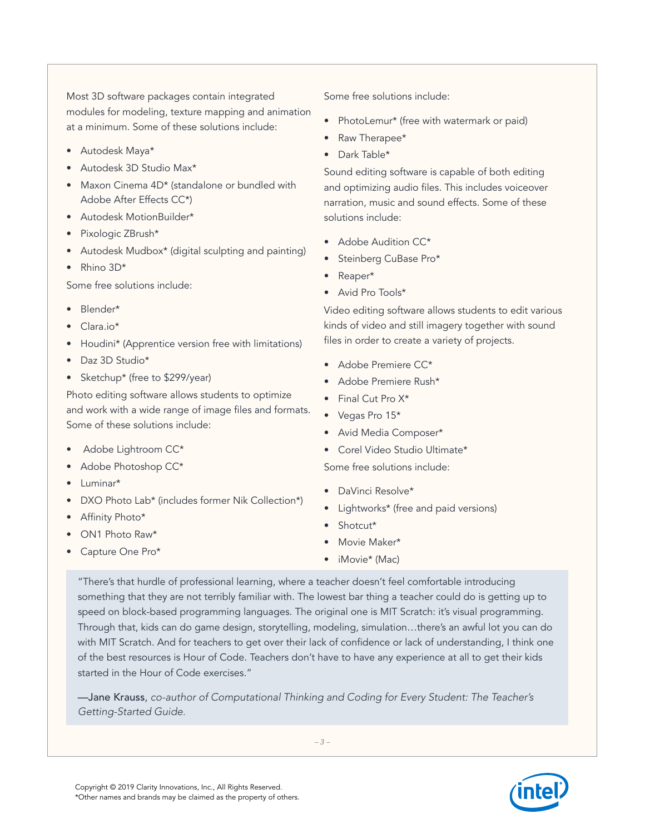Most 3D software packages contain integrated modules for modeling, texture mapping and animation at a minimum. Some of these solutions include:

- Autodesk Maya\*
- Autodesk 3D Studio Max\*
- Maxon Cinema 4D\* (standalone or bundled with Adobe After Effects CC\*)
- Autodesk MotionBuilder\*
- Pixologic ZBrush\*
- Autodesk Mudbox\* (digital sculpting and painting)
- Rhino 3D\*

Some free solutions include:

- Blender\*
- Clara.io\*
- Houdini\* (Apprentice version free with limitations)
- Daz 3D Studio\*
- Sketchup\* (free to \$299/year)

Photo editing software allows students to optimize and work with a wide range of image files and formats. Some of these solutions include:

- Adobe Lightroom CC\*
- Adobe Photoshop CC\*
- Luminar\*
- DXO Photo Lab\* (includes former Nik Collection\*)
- Affinity Photo\*
- ON1 Photo Raw\*
- Capture One Pro\*

Some free solutions include:

- PhotoLemur\* (free with watermark or paid)
- Raw Therapee\*
- Dark Table\*

Sound editing software is capable of both editing and optimizing audio files. This includes voiceover narration, music and sound effects. Some of these solutions include:

- Adobe Audition CC\*
- Steinberg CuBase Pro\*
- Reaper\*
- Avid Pro Tools\*

Video editing software allows students to edit various kinds of video and still imagery together with sound files in order to create a variety of projects.

- Adobe Premiere CC\*
- Adobe Premiere Rush\*
- Final Cut Pro X\*
- Vegas Pro 15\*
- Avid Media Composer\*
- Corel Video Studio Ultimate\*

Some free solutions include:

- DaVinci Resolve\*
- Lightworks\* (free and paid versions)
- Shotcut\*
- Movie Maker\*
- iMovie\* (Mac)

"There's that hurdle of professional learning, where a teacher doesn't feel comfortable introducing something that they are not terribly familiar with. The lowest bar thing a teacher could do is getting up to speed on block-based programming languages. The original one is MIT Scratch: it's visual programming. Through that, kids can do game design, storytelling, modeling, simulation…there's an awful lot you can do with MIT Scratch. And for teachers to get over their lack of confidence or lack of understanding, I think one of the best resources is Hour of Code. Teachers don't have to have any experience at all to get their kids started in the Hour of Code exercises."

—Jane Krauss, *co-author of Computational Thinking and Coding for Every Student: The Teacher's Getting-Started Guide.*